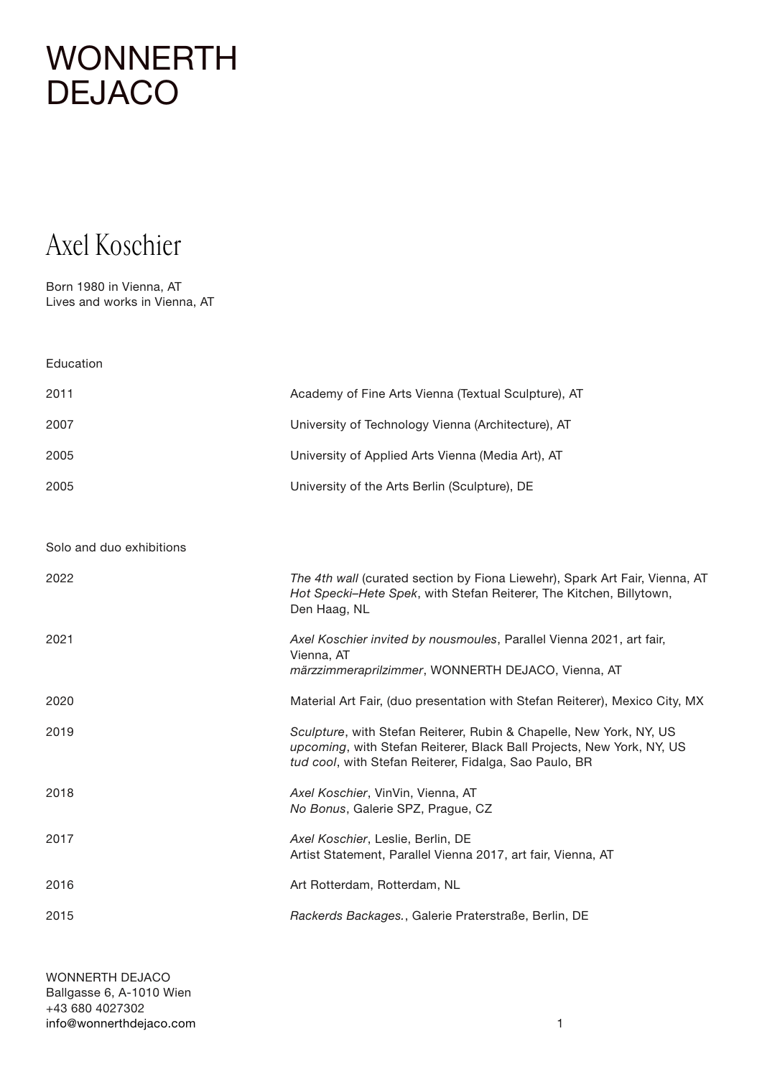#### Axel Koschier

Born 1980 in Vienna, AT Lives and works in Vienna, AT

| Education                |                                                                                                                                                                                                        |
|--------------------------|--------------------------------------------------------------------------------------------------------------------------------------------------------------------------------------------------------|
| 2011                     | Academy of Fine Arts Vienna (Textual Sculpture), AT                                                                                                                                                    |
| 2007                     | University of Technology Vienna (Architecture), AT                                                                                                                                                     |
| 2005                     | University of Applied Arts Vienna (Media Art), AT                                                                                                                                                      |
| 2005                     | University of the Arts Berlin (Sculpture), DE                                                                                                                                                          |
|                          |                                                                                                                                                                                                        |
| Solo and duo exhibitions |                                                                                                                                                                                                        |
| 2022                     | The 4th wall (curated section by Fiona Liewehr), Spark Art Fair, Vienna, AT<br>Hot Specki-Hete Spek, with Stefan Reiterer, The Kitchen, Billytown,<br>Den Haag, NL                                     |
| 2021                     | Axel Koschier invited by nousmoules, Parallel Vienna 2021, art fair,<br>Vienna, AT<br>märzzimmeraprilzimmer, WONNERTH DEJACO, Vienna, AT                                                               |
| 2020                     | Material Art Fair, (duo presentation with Stefan Reiterer), Mexico City, MX                                                                                                                            |
| 2019                     | Sculpture, with Stefan Reiterer, Rubin & Chapelle, New York, NY, US<br>upcoming, with Stefan Reiterer, Black Ball Projects, New York, NY, US<br>tud cool, with Stefan Reiterer, Fidalga, Sao Paulo, BR |
| 2018                     | Axel Koschier, VinVin, Vienna, AT<br>No Bonus, Galerie SPZ, Prague, CZ                                                                                                                                 |
| 2017                     | Axel Koschier, Leslie, Berlin, DE<br>Artist Statement, Parallel Vienna 2017, art fair, Vienna, AT                                                                                                      |
| 2016                     | Art Rotterdam, Rotterdam, NL                                                                                                                                                                           |
| 2015                     | Rackerds Backages., Galerie Praterstraße, Berlin, DE                                                                                                                                                   |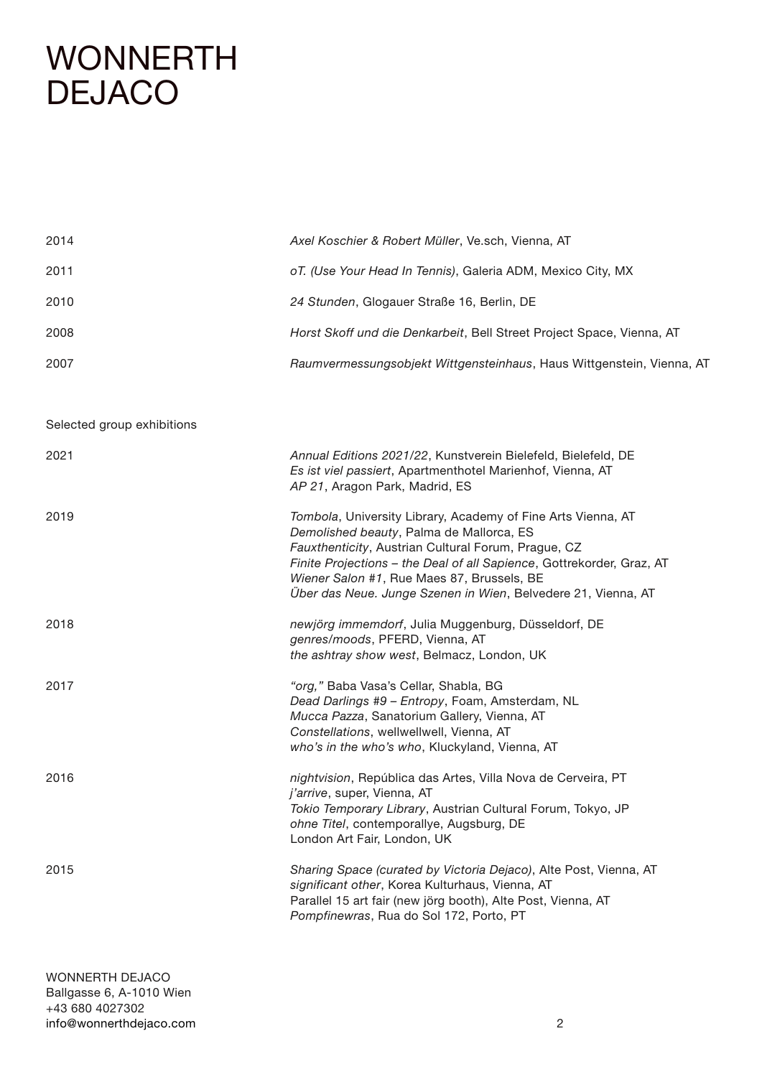| 2014 | Axel Koschier & Robert Müller, Ve.sch, Vienna, AT                     |
|------|-----------------------------------------------------------------------|
| 2011 | oT. (Use Your Head In Tennis), Galeria ADM, Mexico City, MX           |
| 2010 | 24 Stunden, Glogauer Straße 16, Berlin, DE                            |
| 2008 | Horst Skoff und die Denkarbeit, Bell Street Project Space, Vienna, AT |
| 2007 | Raumvermessungsobjekt Wittgensteinhaus, Haus Wittgenstein, Vienna, AT |

Selected group exhibitions

| 2021 | Annual Editions 2021/22, Kunstverein Bielefeld, Bielefeld, DE<br>Es ist viel passiert, Apartmenthotel Marienhof, Vienna, AT<br>AP 21, Aragon Park, Madrid, ES                                                                                                                                                                                           |
|------|---------------------------------------------------------------------------------------------------------------------------------------------------------------------------------------------------------------------------------------------------------------------------------------------------------------------------------------------------------|
| 2019 | Tombola, University Library, Academy of Fine Arts Vienna, AT<br>Demolished beauty, Palma de Mallorca, ES<br>Fauxthenticity, Austrian Cultural Forum, Prague, CZ<br>Finite Projections - the Deal of all Sapience, Gottrekorder, Graz, AT<br>Wiener Salon #1, Rue Maes 87, Brussels, BE<br>Über das Neue. Junge Szenen in Wien, Belvedere 21, Vienna, AT |
| 2018 | newjörg immemdorf, Julia Muggenburg, Düsseldorf, DE<br>genres/moods, PFERD, Vienna, AT<br>the ashtray show west, Belmacz, London, UK                                                                                                                                                                                                                    |
| 2017 | "org," Baba Vasa's Cellar, Shabla, BG<br>Dead Darlings #9 - Entropy, Foam, Amsterdam, NL<br>Mucca Pazza, Sanatorium Gallery, Vienna, AT<br>Constellations, wellwellwell, Vienna, AT<br>who's in the who's who, Kluckyland, Vienna, AT                                                                                                                   |
| 2016 | nightvision, República das Artes, Villa Nova de Cerveira, PT<br>j'arrive, super, Vienna, AT<br>Tokio Temporary Library, Austrian Cultural Forum, Tokyo, JP<br>ohne Titel, contemporallye, Augsburg, DE<br>London Art Fair, London, UK                                                                                                                   |
| 2015 | Sharing Space (curated by Victoria Dejaco), Alte Post, Vienna, AT<br>significant other, Korea Kulturhaus, Vienna, AT<br>Parallel 15 art fair (new jörg booth), Alte Post, Vienna, AT<br>Pompfinewras, Rua do Sol 172, Porto, PT                                                                                                                         |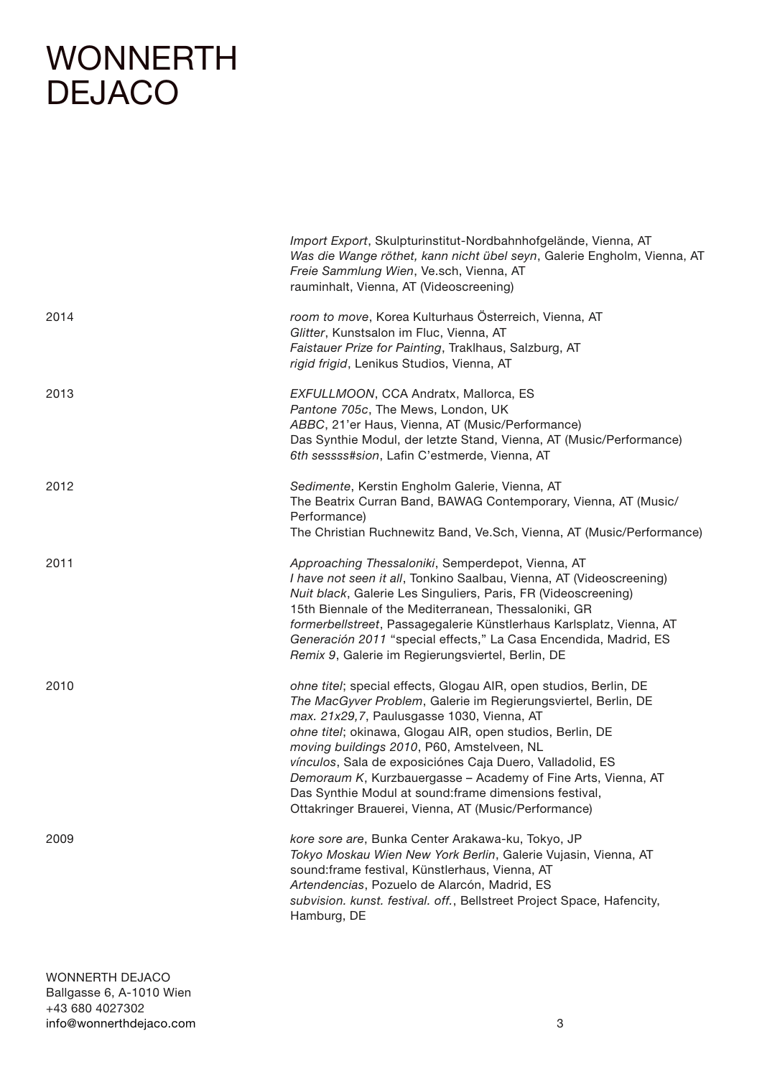|      | Import Export, Skulpturinstitut-Nordbahnhofgelände, Vienna, AT<br>Was die Wange röthet, kann nicht übel seyn, Galerie Engholm, Vienna, AT<br>Freie Sammlung Wien, Ve.sch, Vienna, AT<br>rauminhalt, Vienna, AT (Videoscreening)                                                                                                                                                                                                                                                                                                              |
|------|----------------------------------------------------------------------------------------------------------------------------------------------------------------------------------------------------------------------------------------------------------------------------------------------------------------------------------------------------------------------------------------------------------------------------------------------------------------------------------------------------------------------------------------------|
| 2014 | room to move, Korea Kulturhaus Österreich, Vienna, AT<br>Glitter, Kunstsalon im Fluc, Vienna, AT<br>Faistauer Prize for Painting, Traklhaus, Salzburg, AT<br>rigid frigid, Lenikus Studios, Vienna, AT                                                                                                                                                                                                                                                                                                                                       |
| 2013 | EXFULLMOON, CCA Andratx, Mallorca, ES<br>Pantone 705c, The Mews, London, UK<br>ABBC, 21'er Haus, Vienna, AT (Music/Performance)<br>Das Synthie Modul, der letzte Stand, Vienna, AT (Music/Performance)<br>6th sessss#sion, Lafin C'estmerde, Vienna, AT                                                                                                                                                                                                                                                                                      |
| 2012 | Sedimente, Kerstin Engholm Galerie, Vienna, AT<br>The Beatrix Curran Band, BAWAG Contemporary, Vienna, AT (Music/<br>Performance)<br>The Christian Ruchnewitz Band, Ve.Sch, Vienna, AT (Music/Performance)                                                                                                                                                                                                                                                                                                                                   |
| 2011 | Approaching Thessaloniki, Semperdepot, Vienna, AT<br>I have not seen it all, Tonkino Saalbau, Vienna, AT (Videoscreening)<br>Nuit black, Galerie Les Singuliers, Paris, FR (Videoscreening)<br>15th Biennale of the Mediterranean, Thessaloniki, GR<br>formerbellstreet, Passagegalerie Künstlerhaus Karlsplatz, Vienna, AT<br>Generación 2011 "special effects," La Casa Encendida, Madrid, ES<br>Remix 9, Galerie im Regierungsviertel, Berlin, DE                                                                                         |
| 2010 | ohne titel; special effects, Glogau AIR, open studios, Berlin, DE<br>The MacGyver Problem, Galerie im Regierungsviertel, Berlin, DE<br>max. 21x29,7, Paulusgasse 1030, Vienna, AT<br>ohne titel; okinawa, Glogau AIR, open studios, Berlin, DE<br>moving buildings 2010, P60, Amstelveen, NL<br>vínculos, Sala de exposiciónes Caja Duero, Valladolid, ES<br>Demoraum K, Kurzbauergasse - Academy of Fine Arts, Vienna, AT<br>Das Synthie Modul at sound: frame dimensions festival,<br>Ottakringer Brauerei, Vienna, AT (Music/Performance) |
| 2009 | kore sore are, Bunka Center Arakawa-ku, Tokyo, JP<br>Tokyo Moskau Wien New York Berlin, Galerie Vujasin, Vienna, AT<br>sound: frame festival, Künstlerhaus, Vienna, AT<br>Artendencias, Pozuelo de Alarcón, Madrid, ES<br>subvision. kunst. festival. off., Bellstreet Project Space, Hafencity,<br>Hamburg, DE                                                                                                                                                                                                                              |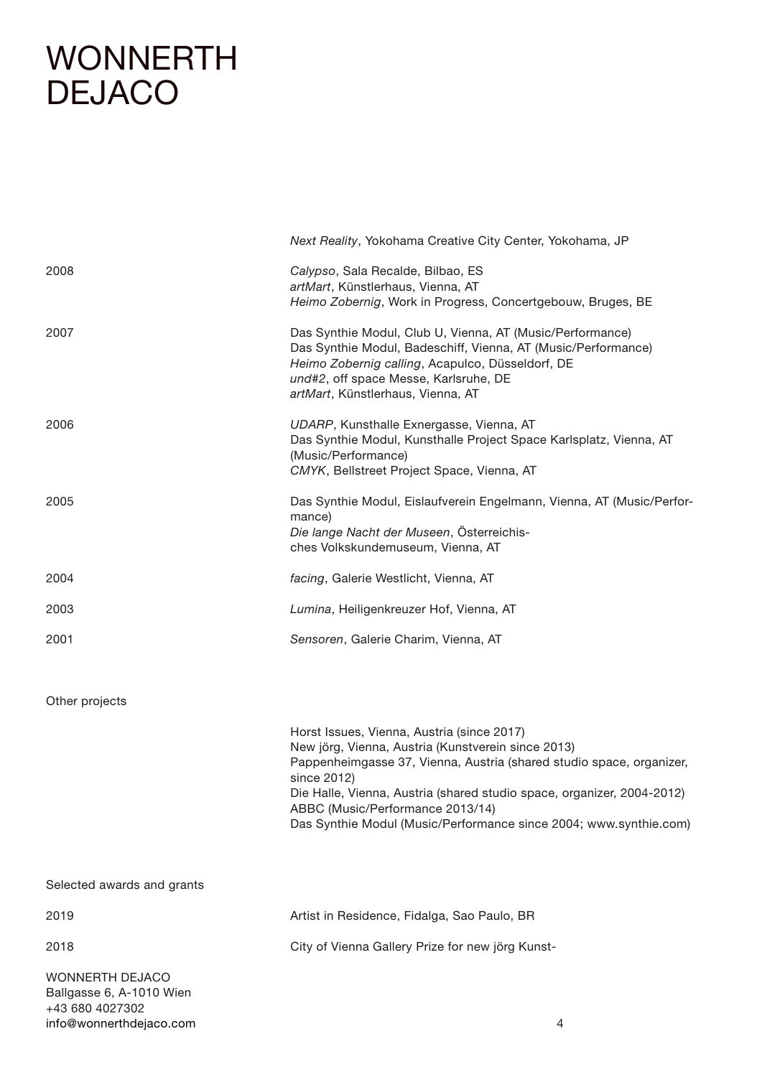[info@wonnerthdejaco.com](mailto:info%40wonnerthdejaco.com?subject=)

|                                                                | Next Reality, Yokohama Creative City Center, Yokohama, JP                                                                                                                                                                                                                                                                                                                  |
|----------------------------------------------------------------|----------------------------------------------------------------------------------------------------------------------------------------------------------------------------------------------------------------------------------------------------------------------------------------------------------------------------------------------------------------------------|
| 2008                                                           | Calypso, Sala Recalde, Bilbao, ES<br>artMart, Künstlerhaus, Vienna, AT<br>Heimo Zobernig, Work in Progress, Concertgebouw, Bruges, BE                                                                                                                                                                                                                                      |
| 2007                                                           | Das Synthie Modul, Club U, Vienna, AT (Music/Performance)<br>Das Synthie Modul, Badeschiff, Vienna, AT (Music/Performance)<br>Heimo Zobernig calling, Acapulco, Düsseldorf, DE<br>und#2, off space Messe, Karlsruhe, DE<br>artMart, Künstlerhaus, Vienna, AT                                                                                                               |
| 2006                                                           | UDARP, Kunsthalle Exnergasse, Vienna, AT<br>Das Synthie Modul, Kunsthalle Project Space Karlsplatz, Vienna, AT<br>(Music/Performance)<br>CMYK, Bellstreet Project Space, Vienna, AT                                                                                                                                                                                        |
| 2005                                                           | Das Synthie Modul, Eislaufverein Engelmann, Vienna, AT (Music/Perfor-<br>mance)<br>Die lange Nacht der Museen, Österreichis-<br>ches Volkskundemuseum, Vienna, AT                                                                                                                                                                                                          |
| 2004                                                           | facing, Galerie Westlicht, Vienna, AT                                                                                                                                                                                                                                                                                                                                      |
| 2003                                                           | Lumina, Heiligenkreuzer Hof, Vienna, AT                                                                                                                                                                                                                                                                                                                                    |
| 2001                                                           | Sensoren, Galerie Charim, Vienna, AT                                                                                                                                                                                                                                                                                                                                       |
| Other projects                                                 |                                                                                                                                                                                                                                                                                                                                                                            |
|                                                                | Horst Issues, Vienna, Austria (since 2017)<br>New jörg, Vienna, Austria (Kunstverein since 2013)<br>Pappenheimgasse 37, Vienna, Austria (shared studio space, organizer,<br>since 2012)<br>Die Halle, Vienna, Austria (shared studio space, organizer, 2004-2012)<br>ABBC (Music/Performance 2013/14)<br>Das Synthie Modul (Music/Performance since 2004; www.synthie.com) |
| Selected awards and grants                                     |                                                                                                                                                                                                                                                                                                                                                                            |
| 2019                                                           | Artist in Residence, Fidalga, Sao Paulo, BR                                                                                                                                                                                                                                                                                                                                |
| 2018                                                           | City of Vienna Gallery Prize for new jörg Kunst-                                                                                                                                                                                                                                                                                                                           |
| WONNERTH DEJACO<br>Ballgasse 6, A-1010 Wien<br>+43 680 4027302 |                                                                                                                                                                                                                                                                                                                                                                            |

4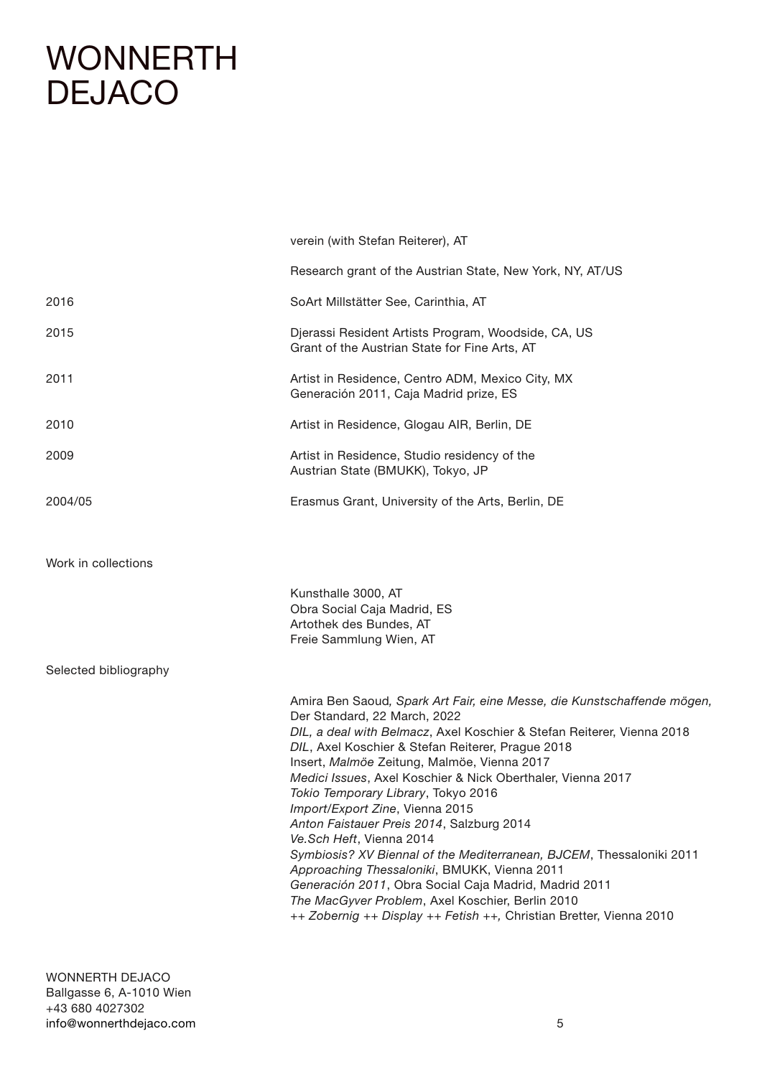|                       | verein (with Stefan Reiterer), AT                                                                                                                                                                                                                                                                                                                                                                                                                                                                                                                                                                                                                                                                                                                                                                                   |
|-----------------------|---------------------------------------------------------------------------------------------------------------------------------------------------------------------------------------------------------------------------------------------------------------------------------------------------------------------------------------------------------------------------------------------------------------------------------------------------------------------------------------------------------------------------------------------------------------------------------------------------------------------------------------------------------------------------------------------------------------------------------------------------------------------------------------------------------------------|
|                       | Research grant of the Austrian State, New York, NY, AT/US                                                                                                                                                                                                                                                                                                                                                                                                                                                                                                                                                                                                                                                                                                                                                           |
| 2016                  | SoArt Millstätter See, Carinthia, AT                                                                                                                                                                                                                                                                                                                                                                                                                                                                                                                                                                                                                                                                                                                                                                                |
| 2015                  | Djerassi Resident Artists Program, Woodside, CA, US<br>Grant of the Austrian State for Fine Arts, AT                                                                                                                                                                                                                                                                                                                                                                                                                                                                                                                                                                                                                                                                                                                |
| 2011                  | Artist in Residence, Centro ADM, Mexico City, MX<br>Generación 2011, Caja Madrid prize, ES                                                                                                                                                                                                                                                                                                                                                                                                                                                                                                                                                                                                                                                                                                                          |
| 2010                  | Artist in Residence, Glogau AIR, Berlin, DE                                                                                                                                                                                                                                                                                                                                                                                                                                                                                                                                                                                                                                                                                                                                                                         |
| 2009                  | Artist in Residence, Studio residency of the<br>Austrian State (BMUKK), Tokyo, JP                                                                                                                                                                                                                                                                                                                                                                                                                                                                                                                                                                                                                                                                                                                                   |
| 2004/05               | Erasmus Grant, University of the Arts, Berlin, DE                                                                                                                                                                                                                                                                                                                                                                                                                                                                                                                                                                                                                                                                                                                                                                   |
|                       |                                                                                                                                                                                                                                                                                                                                                                                                                                                                                                                                                                                                                                                                                                                                                                                                                     |
| Work in collections   |                                                                                                                                                                                                                                                                                                                                                                                                                                                                                                                                                                                                                                                                                                                                                                                                                     |
|                       | Kunsthalle 3000, AT<br>Obra Social Caja Madrid, ES<br>Artothek des Bundes, AT<br>Freie Sammlung Wien, AT                                                                                                                                                                                                                                                                                                                                                                                                                                                                                                                                                                                                                                                                                                            |
| Selected bibliography |                                                                                                                                                                                                                                                                                                                                                                                                                                                                                                                                                                                                                                                                                                                                                                                                                     |
|                       | Amira Ben Saoud, Spark Art Fair, eine Messe, die Kunstschaffende mögen,<br>Der Standard, 22 March, 2022<br>DIL, a deal with Belmacz, Axel Koschier & Stefan Reiterer, Vienna 2018<br>DIL, Axel Koschier & Stefan Reiterer, Prague 2018<br>Insert, Malmöe Zeitung, Malmöe, Vienna 2017<br>Medici Issues, Axel Koschier & Nick Oberthaler, Vienna 2017<br>Tokio Temporary Library, Tokyo 2016<br>Import/Export Zine, Vienna 2015<br>Anton Faistauer Preis 2014, Salzburg 2014<br>Ve.Sch Heft, Vienna 2014<br>Symbiosis? XV Biennal of the Mediterranean, BJCEM, Thessaloniki 2011<br>Approaching Thessaloniki, BMUKK, Vienna 2011<br>Generación 2011, Obra Social Caja Madrid, Madrid 2011<br>The MacGyver Problem, Axel Koschier, Berlin 2010<br>++ Zobernig ++ Display ++ Fetish ++, Christian Bretter, Vienna 2010 |